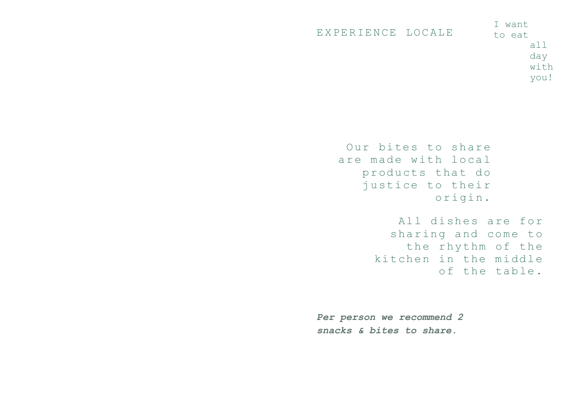| EXPERIENCE LOCALE | I want<br>to eat |                          |
|-------------------|------------------|--------------------------|
|                   |                  | $\overline{a}$ ll<br>day |
|                   |                  | with                     |
|                   |                  | you!                     |

Our bites to share are made with local products that do justice to their origin.

> All dishes are for sharing and come to the rhythm of the kitchen in the middle of the table.

*Per person we recommend 2 snacks & bites to share.*